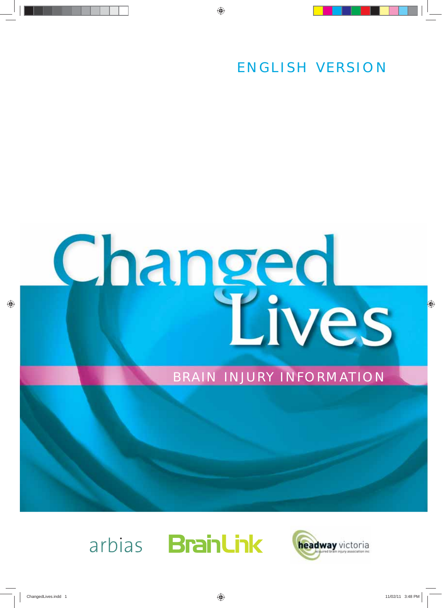ENGLISH VERSION

# **Changed**<br>Lives

# BRAIN INJURY INFORMATION



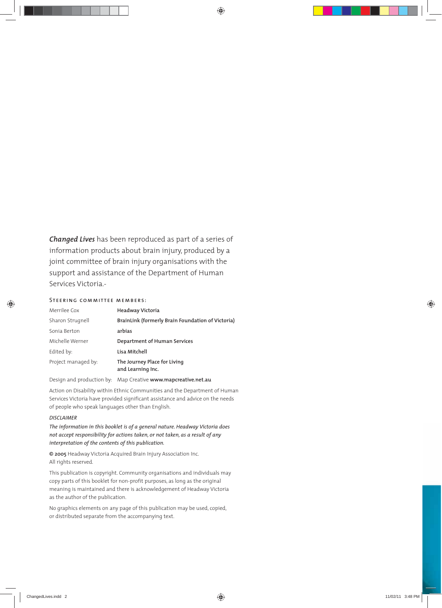*Changed Lives* has been reproduced as part of a series of information products about brain injury, produced by a joint committee of brain injury organisations with the support and assistance of the Department of Human Services Victoria.-

### Steering committee members:

| Merrilee Cox        | Headway Victoria                                  |
|---------------------|---------------------------------------------------|
| Sharon Strugnell    | BrainLink (formerly Brain Foundation of Victoria) |
| Sonia Berton        | arbias                                            |
| Michelle Werner     | Department of Human Services                      |
| Edited by:          | Lisa Mitchell                                     |
| Project managed by: | The Journey Place for Living<br>and Learning Inc. |
|                     |                                                   |

Design and production by: Map Creative **www.mapcreative.net.au**

Action on Disability within Ethnic Communities and the Department of Human Services Victoria have provided significant assistance and advice on the needs of people who speak languages other than English.

### *DISCLAIMER*

*The information in this booklet is of a general nature. Headway Victoria does not accept responsibility for actions taken, or not taken, as a result of any interpretation of the contents of this publication.*

**© 2005** Headway Victoria Acquired Brain Injury Association Inc. All rights reserved.

This publication is copyright. Community organisations and individuals may copy parts of this booklet for non-profit purposes, as long as the original meaning is maintained and there is acknowledgement of Headway Victoria as the author of the publication.

No graphics elements on any page of this publication may be used, copied, or distributed separate from the accompanying text.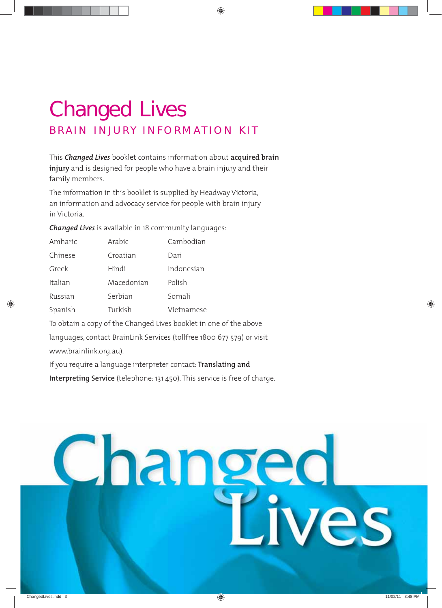# Changed Lives BRAIN INJURY INFORMATION KIT

This *Changed Lives* booklet contains information about **acquired brain injury** and is designed for people who have a brain injury and their family members.

The information in this booklet is supplied by Headway Victoria, an information and advocacy service for people with brain injury in Victoria.

*Changed Lives* is available in 18 community languages:

| Amharic | Arabic     | Cambodian  |
|---------|------------|------------|
| Chinese | Croatian   | Dari       |
| Greek   | Hindi      | Indonesian |
| Italian | Macedonian | Polish     |
| Russian | Serbian    | Somali     |
| Spanish | Turkish    | Vietnamese |
|         |            |            |

To obtain a copy of the Changed Lives booklet in one of the above

languages, contact BrainLink Services (tollfree 1800 677 579) or visit

www.brainlink.org.au).

If you require a language interpreter contact: **Translating and**

**Interpreting Service** (telephone: 131 450). This service is free of charge.

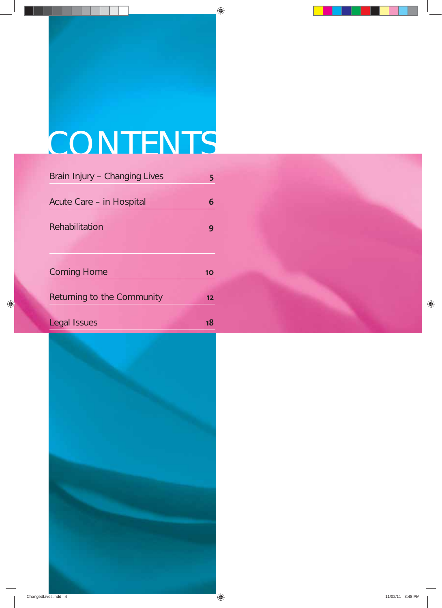# **CONTENTS**

| Brain Injury – Changing Lives |    |
|-------------------------------|----|
| Acute Care – in Hospital      | 6  |
| Rehabilitation                |    |
| <b>Coming Home</b>            | 10 |
| Returning to the Community    | 12 |

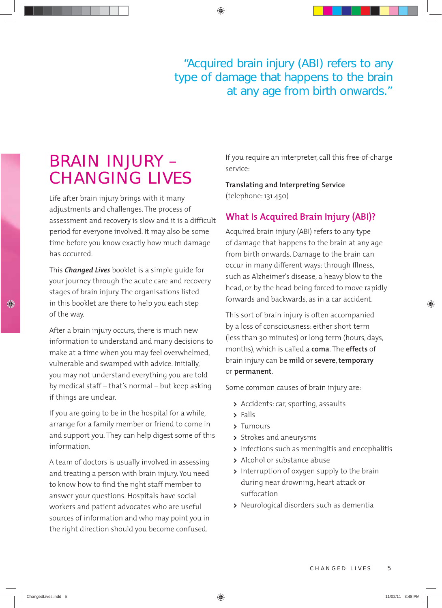"Acquired brain injury (ABI) refers to any type of damage that happens to the brain at any age from birth onwards."

# BRAIN INJURY – CHANGING LIVES

Life after brain injury brings with it many adjustments and challenges. The process of assessment and recovery is slow and it is a difficult period for everyone involved. It may also be some time before you know exactly how much damage has occurred.

This *Changed Lives* booklet is a simple guide for your journey through the acute care and recovery stages of brain injury. The organisations listed in this booklet are there to help you each step of the way.

After a brain injury occurs, there is much new information to understand and many decisions to make at a time when you may feel overwhelmed, vulnerable and swamped with advice. Initially, you may not understand everything you are told by medical staff – that's normal – but keep asking if things are unclear.

If you are going to be in the hospital for a while, arrange for a family member or friend to come in and support you. They can help digest some of this information.

A team of doctors is usually involved in assessing and treating a person with brain injury. You need to know how to find the right staff member to answer your questions. Hospitals have social workers and patient advocates who are useful sources of information and who may point you in the right direction should you become confused.

 If you require an interpreter, call this free-of-charge service:

**Translating and Interpreting Service** (telephone: 131 450)

# **What Is Acquired Brain Injury (ABI)?**

Acquired brain injury (ABI) refers to any type of damage that happens to the brain at any age from birth onwards. Damage to the brain can occur in many different ways: through Illness, such as Alzheimer's disease, a heavy blow to the head, or by the head being forced to move rapidly forwards and backwards, as in a car accident.

This sort of brain injury is often accompanied by a loss of consciousness: either short term (less than 30 minutes) or long term (hours, days, months), which is called a **coma**. The **effects** of brain injury can be **mild** or **severe**, **temporary** or **permanent**.

Some common causes of brain injury are:

- **>** Accidents: car, sporting, assaults
- **>** Falls
- **>** Tumours
- **>** Strokes and aneurysms
- **>** Infections such as meningitis and encephalitis
- **>** Alcohol or substance abuse
- **>** Interruption of oxygen supply to the brain during near drowning, heart attack or suffocation
- **>** Neurological disorders such as dementia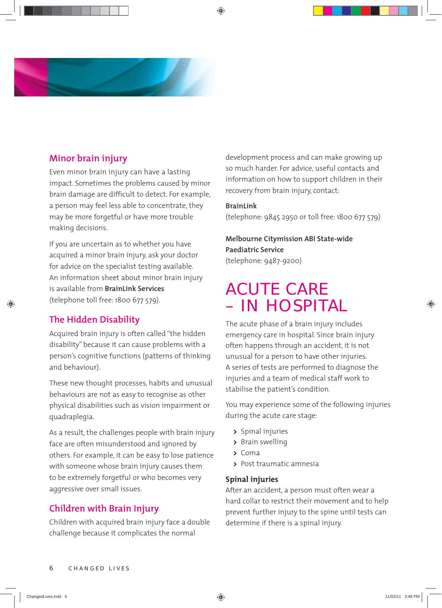

# **Minor brain injury**

Even minor brain injury can have a lasting impact. Sometimes the problems caused by minor brain damage are difficult to detect. For example, a person may feel less able to concentrate, they may be more forgetful or have more trouble making decisions.

If you are uncertain as to whether you have acquired a minor brain injury, ask your doctor for advice on the specialist testing available. An information sheet about minor brain injury is available from **BrainLink Services** (telephone toll free: 1800 677 579).

# **The Hidden Disability**

Acquired brain injury is often called "the hidden disability" because it can cause problems with a person's cognitive functions (patterns of thinking and behaviour).

These new thought processes, habits and unusual behaviours are not as easy to recognise as other physical disabilities such as vision impairment or quadraplegia.

As a result, the challenges people with brain injury face are often misunderstood and ignored by others. For example, it can be easy to lose patience with someone whose brain injury causes them to be extremely forgetful or who becomes very aggressive over small issues.

# **Children with Brain Injury**

Children with acquired brain injury face a double challenge because it complicates the normal

development process and can make growing up so much harder. For advice, useful contacts and information on how to support children in their recovery from brain injury, contact:

### **BrainLink**

(telephone: 9845 2950 or toll free: 1800 677 579)

 **Melbourne Citymission ABI State-wide Paediatric Service** (telephone: 9487-9200)

# ACUTE CARE – IN HOSPITAL

The acute phase of a brain injury includes emergency care in hospital. Since brain injury often happens through an accident, it is not unusual for a person to have other injuries. A series of tests are performed to diagnose the injuries and a team of medical staff work to stabilise the patient's condition.

You may experience some of the following injuries during the acute care stage:

- **>** Spinal injuries
- **>** Brain swelling
- **>** Coma
- **>** Post traumatic amnesia

# **Spinal injuries**

After an accident, a person must often wear a hard collar to restrict their movement and to help prevent further injury to the spine until tests can determine if there is a spinal injury.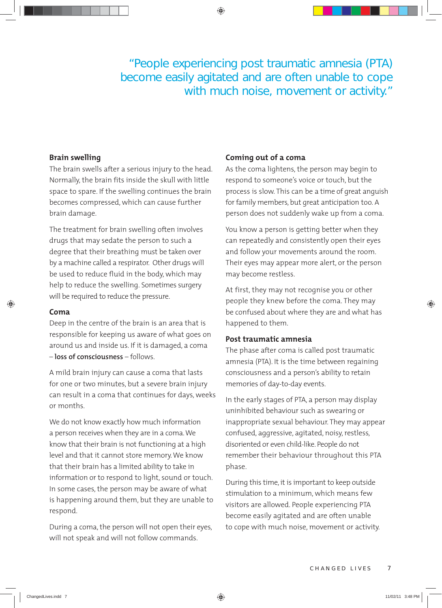"People experiencing post traumatic amnesia (PTA) become easily agitated and are often unable to cope with much noise, movement or activity."

# **Brain swelling**

The brain swells after a serious injury to the head. Normally, the brain fits inside the skull with little space to spare. If the swelling continues the brain becomes compressed, which can cause further brain damage.

The treatment for brain swelling often involves drugs that may sedate the person to such a degree that their breathing must be taken over by a machine called a respirator. Other drugs will be used to reduce fluid in the body, which may help to reduce the swelling. Sometimes surgery will be required to reduce the pressure.

### **Coma**

Deep in the centre of the brain is an area that is responsible for keeping us aware of what goes on around us and inside us. If it is damaged, a coma – **loss of consciousness** – follows.

A mild brain injury can cause a coma that lasts for one or two minutes, but a severe brain injury can result in a coma that continues for days, weeks or months.

We do not know exactly how much information a person receives when they are in a coma. We know that their brain is not functioning at a high level and that it cannot store memory. We know that their brain has a limited ability to take in information or to respond to light, sound or touch. In some cases, the person may be aware of what is happening around them, but they are unable to respond.

During a coma, the person will not open their eyes, will not speak and will not follow commands.

### **Coming out of a coma**

As the coma lightens, the person may begin to respond to someone's voice or touch, but the process is slow. This can be a time of great anguish for family members, but great anticipation too. A person does not suddenly wake up from a coma.

You know a person is getting better when they can repeatedly and consistently open their eyes and follow your movements around the room. Their eyes may appear more alert, or the person may become restless.

At first, they may not recognise you or other people they knew before the coma. They may be confused about where they are and what has happened to them.

### **Post traumatic amnesia**

The phase after coma is called post traumatic amnesia (PTA). It is the time between regaining consciousness and a person's ability to retain memories of day-to-day events.

In the early stages of PTA, a person may display uninhibited behaviour such as swearing or inappropriate sexual behaviour. They may appear confused, aggressive, agitated, noisy, restless, disoriented or even child-like. People do not remember their behaviour throughout this PTA phase.

During this time, it is important to keep outside stimulation to a minimum, which means few visitors are allowed. People experiencing PTA become easily agitated and are often unable to cope with much noise, movement or activity.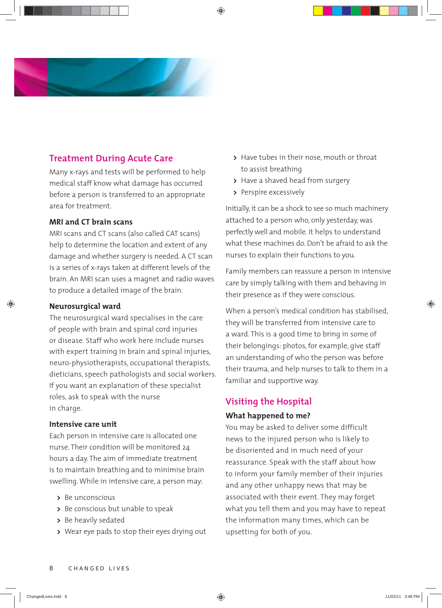

# **Treatment During Acute Care**

Many x-rays and tests will be performed to help medical staff know what damage has occurred before a person is transferred to an appropriate area for treatment.

# **MRI and CT brain scans**

MRI scans and CT scans (also called CAT scans) help to determine the location and extent of any damage and whether surgery is needed. A CT scan is a series of x-rays taken at different levels of the brain. An MRI scan uses a magnet and radio waves to produce a detailed image of the brain.

# **Neurosurgical ward**

The neurosurgical ward specialises in the care of people with brain and spinal cord injuries or disease. Staff who work here include nurses with expert training in brain and spinal injuries, neuro-physiotherapists, occupational therapists, dieticians, speech pathologists and social workers. If you want an explanation of these specialist roles, ask to speak with the nurse in charge.

# **Intensive care unit**

Each person in intensive care is allocated one nurse. Their condition will be monitored 24 hours a day. The aim of immediate treatment is to maintain breathing and to minimise brain swelling. While in intensive care, a person may:

- **>** Be unconscious
- **>** Be conscious but unable to speak
- **>** Be heavily sedated
- **>** Wear eye pads to stop their eyes drying out
- **>** Have tubes in their nose, mouth or throat to assist breathing
- **>** Have a shaved head from surgery
- **>** Perspire excessively

Initially, it can be a shock to see so much machinery attached to a person who, only yesterday, was perfectly well and mobile. It helps to understand what these machines do. Don't be afraid to ask the nurses to explain their functions to you.

Family members can reassure a person in intensive care by simply talking with them and behaving in their presence as if they were conscious.

When a person's medical condition has stabilised, they will be transferred from intensive care to a ward. This is a good time to bring in some of their belongings: photos, for example, give staff an understanding of who the person was before their trauma, and help nurses to talk to them in a familiar and supportive way.

# **Visiting the Hospital**

# **What happened to me?**

You may be asked to deliver some difficult news to the injured person who is likely to be disoriented and in much need of your reassurance. Speak with the staff about how to inform your family member of their injuries and any other unhappy news that may be associated with their event. They may forget what you tell them and you may have to repeat the information many times, which can be upsetting for both of you.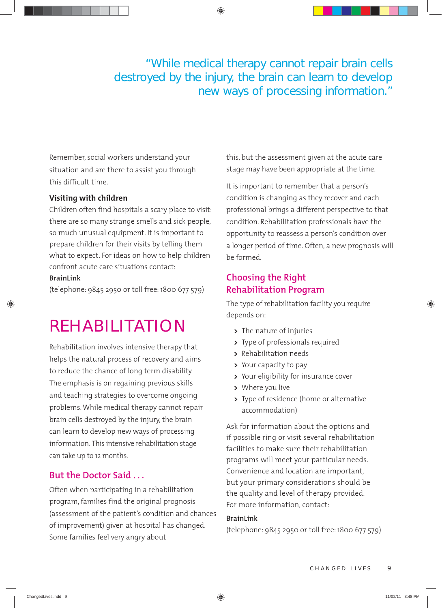# "While medical therapy cannot repair brain cells destroyed by the injury, the brain can learn to develop new ways of processing information."

Remember, social workers understand your situation and are there to assist you through this difficult time.

# **Visiting with children**

Children often find hospitals a scary place to visit: there are so many strange smells and sick people, so much unusual equipment. It is important to prepare children for their visits by telling them what to expect. For ideas on how to help children confront acute care situations contact: **BrainLink**

(telephone: 9845 2950 or toll free: 1800 677 579)

# REHABILITATION

Rehabilitation involves intensive therapy that helps the natural process of recovery and aims to reduce the chance of long term disability. The emphasis is on regaining previous skills and teaching strategies to overcome ongoing problems. While medical therapy cannot repair brain cells destroyed by the injury, the brain can learn to develop new ways of processing information. This intensive rehabilitation stage can take up to 12 months.

# **But the Doctor Said . . .**

Often when participating in a rehabilitation program, families find the original prognosis (assessment of the patient's condition and chances of improvement) given at hospital has changed. Some families feel very angry about

this, but the assessment given at the acute care stage may have been appropriate at the time.

It is important to remember that a person's condition is changing as they recover and each professional brings a different perspective to that condition. Rehabilitation professionals have the opportunity to reassess a person's condition over a longer period of time. Often, a new prognosis will be formed.

# **Choosing the Right Rehabilitation Program**

The type of rehabilitation facility you require depends on:

- **>** The nature of injuries
- **>** Type of professionals required
- **>** Rehabilitation needs
- **>** Your capacity to pay
- **>** Your eligibility for insurance cover
- **>** Where you live
- **>** Type of residence (home or alternative accommodation)

Ask for information about the options and if possible ring or visit several rehabilitation facilities to make sure their rehabilitation programs will meet your particular needs. Convenience and location are important, but your primary considerations should be the quality and level of therapy provided. For more information, contact:

# **BrainLink**

(telephone: 9845 2950 or toll free: 1800 677 579)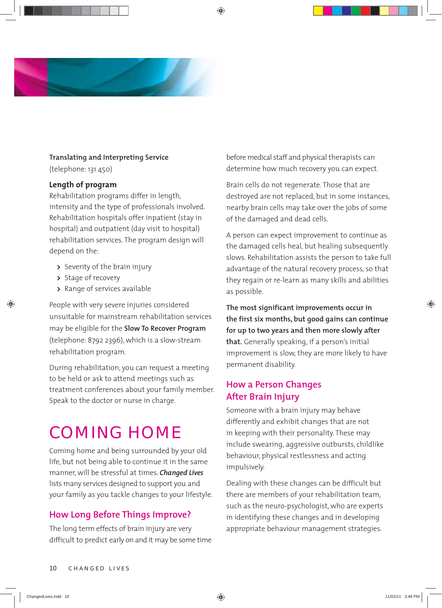

# **Translating and Interpreting Service**

(telephone: 131 450)

# **Length of program**

Rehabilitation programs differ in length, intensity and the type of professionals involved. Rehabilitation hospitals offer inpatient (stay in hospital) and outpatient (day visit to hospital) rehabilitation services. The program design will depend on the:

- **>** Severity of the brain injury
- **>** Stage of recovery
- **>** Range of services available

People with very severe injuries considered unsuitable for mainstream rehabilitation services may be eligible for the **Slow To Recover Program** (telephone: 8792 2396), which is a slow-stream rehabilitation program.

During rehabilitation, you can request a meeting to be held or ask to attend meetings such as treatment conferences about your family member. Speak to the doctor or nurse in charge.

# COMING HOME

Coming home and being surrounded by your old life, but not being able to continue it in the same manner, will be stressful at times. *Changed Lives* lists many services designed to support you and your family as you tackle changes to your lifestyle.

# **How Long Before Things Improve?**

The long term effects of brain injury are very difficult to predict early on and it may be some time before medical staff and physical therapists can determine how much recovery you can expect.

Brain cells do not regenerate. Those that are destroyed are not replaced, but in some instances, nearby brain cells may take over the jobs of some of the damaged and dead cells.

A person can expect improvement to continue as the damaged cells heal, but healing subsequently slows. Rehabilitation assists the person to take full advantage of the natural recovery process, so that they regain or re-learn as many skills and abilities as possible.

**The most significant improvements occur in the first six months, but good gains can continue for up to two years and then more slowly after that.** Generally speaking, if a person's initial improvement is slow, they are more likely to have permanent disability.

# **How a Person Changes After Brain Injury**

Someone with a brain injury may behave differently and exhibit changes that are not in keeping with their personality. These may include swearing, aggressive outbursts, childlike behaviour, physical restlessness and acting impulsively.

Dealing with these changes can be difficult but there are members of your rehabilitation team, such as the neuro-psychologist, who are experts in identifying these changes and in developing appropriate behaviour management strategies.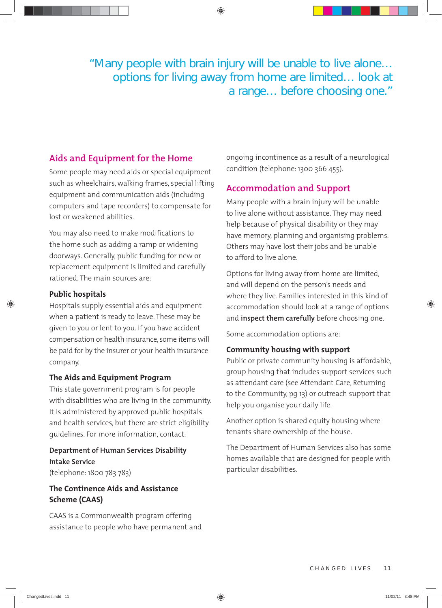"Many people with brain injury will be unable to live alone… options for living away from home are limited… look at a range… before choosing one."

# **Aids and Equipment for the Home**

Some people may need aids or special equipment such as wheelchairs, walking frames, special lifting equipment and communication aids (including computers and tape recorders) to compensate for lost or weakened abilities.

You may also need to make modifications to the home such as adding a ramp or widening doorways. Generally, public funding for new or replacement equipment is limited and carefully rationed. The main sources are:

# **Public hospitals**

Hospitals supply essential aids and equipment when a patient is ready to leave. These may be given to you or lent to you. If you have accident compensation or health insurance, some items will be paid for by the insurer or your health insurance company.

# **The Aids and Equipment Program**

This state government program is for people with disabilities who are living in the community. It is administered by approved public hospitals and health services, but there are strict eligibility guidelines. For more information, contact:

 **Department of Human Services Disability Intake Service** (telephone: 1800 783 783)

# **The Continence Aids and Assistance Scheme (CAAS)**

CAAS is a Commonwealth program offering assistance to people who have permanent and ongoing incontinence as a result of a neurological condition (telephone: 1300 366 455).

# **Accommodation and Support**

Many people with a brain injury will be unable to live alone without assistance. They may need help because of physical disability or they may have memory, planning and organising problems. Others may have lost their jobs and be unable to afford to live alone.

Options for living away from home are limited, and will depend on the person's needs and where they live. Families interested in this kind of accommodation should look at a range of options and **inspect them carefully** before choosing one.

Some accommodation options are:

# **Community housing with support**

Public or private community housing is affordable, group housing that includes support services such as attendant care (see Attendant Care, Returning to the Community, pg 13) or outreach support that help you organise your daily life.

Another option is shared equity housing where tenants share ownership of the house.

The Department of Human Services also has some homes available that are designed for people with particular disabilities.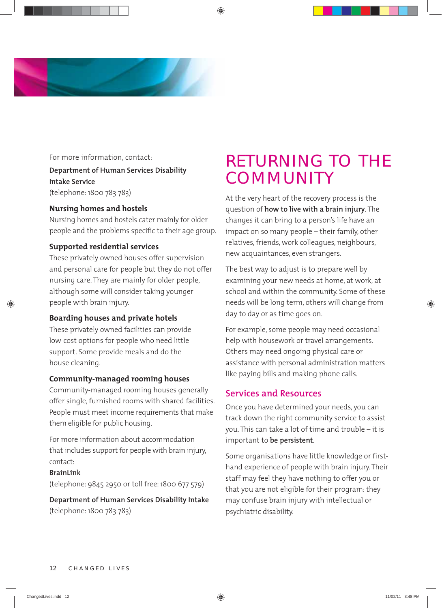

For more information, contact:

# **Department of Human Services Disability Intake Service** (telephone: 1800 783 783)

# **Nursing homes and hostels**

Nursing homes and hostels cater mainly for older people and the problems specific to their age group.

# **Supported residential services**

These privately owned houses offer supervision and personal care for people but they do not offer nursing care. They are mainly for older people, although some will consider taking younger people with brain injury.

# **Boarding houses and private hotels**

These privately owned facilities can provide low-cost options for people who need little support. Some provide meals and do the house cleaning.

### **Community-managed rooming houses**

Community-managed rooming houses generally offer single, furnished rooms with shared facilities. People must meet income requirements that make them eligible for public housing.

For more information about accommodation that includes support for people with brain injury, contact:

### **BrainLink**

(telephone: 9845 2950 or toll free: 1800 677 579)

**Department of Human Services Disability Intake**  (telephone: 1800 783 783)

# RETURNING TO THE COMMUNITY

At the very heart of the recovery process is the question of **how to live with a brain injury**. The changes it can bring to a person's life have an impact on so many people – their family, other relatives, friends, work colleagues, neighbours, new acquaintances, even strangers.

The best way to adjust is to prepare well by examining your new needs at home, at work, at school and within the community. Some of these needs will be long term, others will change from day to day or as time goes on.

For example, some people may need occasional help with housework or travel arrangements. Others may need ongoing physical care or assistance with personal administration matters like paying bills and making phone calls.

# **Services and Resources**

Once you have determined your needs, you can track down the right community service to assist you. This can take a lot of time and trouble – it is important to **be persistent**.

Some organisations have little knowledge or firsthand experience of people with brain injury. Their staff may feel they have nothing to offer you or that you are not eligible for their program: they may confuse brain injury with intellectual or psychiatric disability.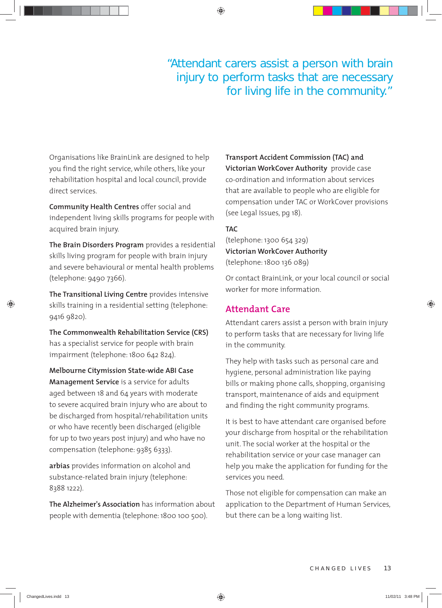# "Attendant carers assist a person with brain injury to perform tasks that are necessary for living life in the community."

Organisations like BrainLink are designed to help you find the right service, while others, like your rehabilitation hospital and local council, provide direct services.

 **Community Health Centres** offer social and independent living skills programs for people with acquired brain injury.

 **The Brain Disorders Program** provides a residential skills living program for people with brain injury and severe behavioural or mental health problems (telephone: 9490 7366).

**The Transitional Living Centre** provides intensive skills training in a residential setting (telephone: 9416 9820).

**The Commonwealth Rehabilitation Service (CRS)**  has a specialist service for people with brain impairment (telephone: 1800 642 824).

 **Melbourne Citymission State-wide ABI Case Management Service** is a service for adults aged between 18 and 64 years with moderate to severe acquired brain injury who are about to be discharged from hospital/rehabilitation units or who have recently been discharged (eligible for up to two years post injury) and who have no compensation (telephone: 9385 6333).

 **arbias** provides information on alcohol and substance-related brain injury (telephone: 8388 1222).

 **The Alzheimer's Association** has information about people with dementia (telephone: 1800 100 500).

**Transport Accident Commission (TAC) and Victorian WorkCover Authority** provide case co-ordination and information about services that are available to people who are eligible for compensation under TAC or WorkCover provisions (see Legal Issues, pg 18).

# **TAC**

(telephone: 1300 654 329) **Victorian WorkCover Authority** (telephone: 1800 136 089)

Or contact BrainLink, or your local council or social worker for more information.

# **Attendant Care**

Attendant carers assist a person with brain injury to perform tasks that are necessary for living life in the community.

They help with tasks such as personal care and hygiene, personal administration like paying bills or making phone calls, shopping, organising transport, maintenance of aids and equipment and finding the right community programs.

It is best to have attendant care organised before your discharge from hospital or the rehabilitation unit. The social worker at the hospital or the rehabilitation service or your case manager can help you make the application for funding for the services you need.

Those not eligible for compensation can make an application to the Department of Human Services, but there can be a long waiting list.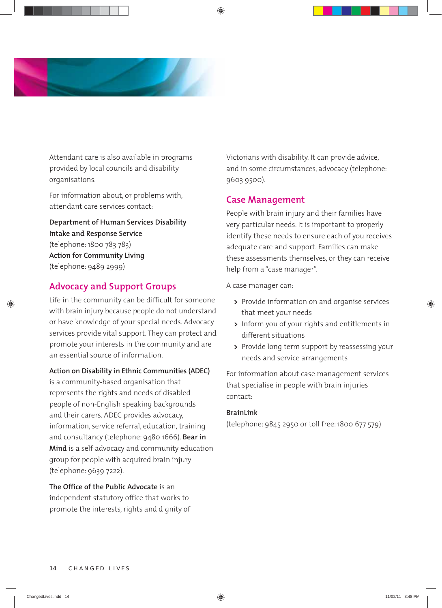

Attendant care is also available in programs provided by local councils and disability organisations.

For information about, or problems with, attendant care services contact:

**Department of Human Services Disability Intake and Response Service** (telephone: 1800 783 783) **Action for Community Living** (telephone: 9489 2999)

# **Advocacy and Support Groups**

Life in the community can be difficult for someone with brain injury because people do not understand or have knowledge of your special needs. Advocacy services provide vital support. They can protect and promote your interests in the community and are an essential source of information.

# **Action on Disability in Ethnic Communities (ADEC)**

is a community-based organisation that represents the rights and needs of disabled people of non-English speaking backgrounds and their carers. ADEC provides advocacy, information, service referral, education, training and consultancy (telephone: 9480 1666). **Bear in Mind** is a self-advocacy and community education group for people with acquired brain injury (telephone: 9639 7222).

**The Office of the Public Advocate** is an independent statutory office that works to promote the interests, rights and dignity of Victorians with disability. It can provide advice, and in some circumstances, advocacy (telephone: 9603 9500).

# **Case Management**

People with brain injury and their families have very particular needs. It is important to properly identify these needs to ensure each of you receives adequate care and support. Families can make these assessments themselves, or they can receive help from a "case manager".

A case manager can:

- **>** Provide information on and organise services that meet your needs
- **>** Inform you of your rights and entitlements in different situations
- **>** Provide long term support by reassessing your needs and service arrangements

For information about case management services that specialise in people with brain injuries contact:

# **BrainLink**

(telephone: 9845 2950 or toll free: 1800 677 579)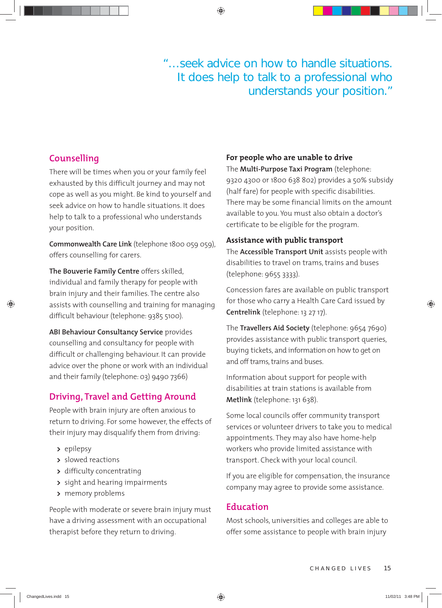"…seek advice on how to handle situations. It does help to talk to a professional who understands your position."

# **Counselling**

There will be times when you or your family feel exhausted by this difficult journey and may not cope as well as you might. Be kind to yourself and seek advice on how to handle situations. It does help to talk to a professional who understands your position.

**Commonwealth Care Link** (telephone 1800 059 059), offers counselling for carers.

**The Bouverie Family Centre** offers skilled, individual and family therapy for people with brain injury and their families. The centre also assists with counselling and training for managing difficult behaviour (telephone: 9385 5100).

**ABI Behaviour Consultancy Service** provides counselling and consultancy for people with difficult or challenging behaviour. It can provide advice over the phone or work with an individual and their family (telephone: 03) 9490 7366)

# **Driving, Travel and Getting Around**

People with brain injury are often anxious to return to driving. For some however, the effects of their injury may disqualify them from driving:

- **>** epilepsy
- **>** slowed reactions
- **>** difficulty concentrating
- **>** sight and hearing impairments
- **>** memory problems

People with moderate or severe brain injury must have a driving assessment with an occupational therapist before they return to driving.

# **For people who are unable to drive**

The **Multi-Purpose Taxi Program** (telephone: 9320 4300 or 1800 638 802) provides a 50% subsidy (half fare) for people with specific disabilities. There may be some financial limits on the amount available to you. You must also obtain a doctor's certificate to be eligible for the program.

# **Assistance with public transport**

The **Accessible Transport Unit** assists people with disabilities to travel on trams, trains and buses (telephone: 9655 3333).

Concession fares are available on public transport for those who carry a Health Care Card issued by **Centrelink** (telephone: 13 27 17).

The **Travellers Aid Society** (telephone: 9654 7690) provides assistance with public transport queries, buying tickets, and information on how to get on and off trams, trains and buses.

Information about support for people with disabilities at train stations is available from **Metlink** (telephone: 131 638).

Some local councils offer community transport services or volunteer drivers to take you to medical appointments. They may also have home-help workers who provide limited assistance with transport. Check with your local council.

If you are eligible for compensation, the insurance company may agree to provide some assistance.

# **Education**

Most schools, universities and colleges are able to offer some assistance to people with brain injury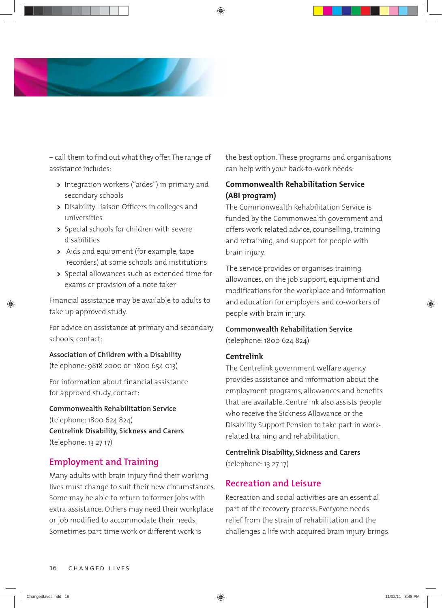

– call them to find out what they offer. The range of assistance includes:

- **>** Integration workers ("aides") in primary and secondary schools
- **>** Disability Liaison Officers in colleges and universities
- **>** Special schools for children with severe disabilities
- **>** Aids and equipment (for example, tape recorders) at some schools and institutions
- **>** Special allowances such as extended time for exams or provision of a note taker

Financial assistance may be available to adults to take up approved study.

For advice on assistance at primary and secondary schools, contact:

# **Association of Children with a Disability**

(telephone: 9818 2000 or 1800 654 013)

For information about financial assistance for approved study, contact:

 **Commonwealth Rehabilitation Service**  (telephone: 1800 624 824)  **Centrelink Disability, Sickness and Carers**  (telephone: 13 27 17)

# **Employment and Training**

Many adults with brain injury find their working lives must change to suit their new circumstances. Some may be able to return to former jobs with extra assistance. Others may need their workplace or job modified to accommodate their needs. Sometimes part-time work or different work is

the best option. These programs and organisations can help with your back-to-work needs:

# **Commonwealth Rehabilitation Service (ABI program)**

The Commonwealth Rehabilitation Service is funded by the Commonwealth government and offers work-related advice, counselling, training and retraining, and support for people with brain injury.

The service provides or organises training allowances, on the job support, equipment and modifications for the workplace and information and education for employers and co-workers of people with brain injury.

# **Commonwealth Rehabilitation Service**  (telephone: 1800 624 824)

# **Centrelink**

The Centrelink government welfare agency provides assistance and information about the employment programs, allowances and benefits that are available. Centrelink also assists people who receive the Sickness Allowance or the Disability Support Pension to take part in workrelated training and rehabilitation.

 **Centrelink Disability, Sickness and Carers**  (telephone: 13 27 17)

# **Recreation and Leisure**

Recreation and social activities are an essential part of the recovery process. Everyone needs relief from the strain of rehabilitation and the challenges a life with acquired brain injury brings.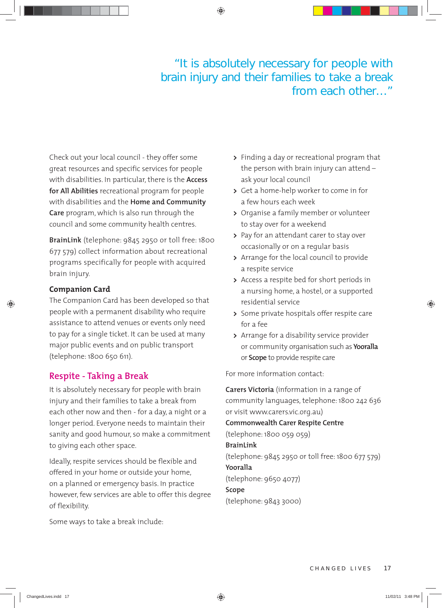# "It is absolutely necessary for people with brain injury and their families to take a break from each other…"

Check out your local council - they offer some great resources and specific services for people with disabilities. In particular, there is the **Access for All Abilities** recreational program for people with disabilities and the **Home and Community Care** program, which is also run through the council and some community health centres.

**BrainLink** (telephone: 9845 2950 or toll free: 1800 677 579) collect information about recreational programs specifically for people with acquired brain injury.

# **Companion Card**

The Companion Card has been developed so that people with a permanent disability who require assistance to attend venues or events only need to pay for a single ticket. It can be used at many major public events and on public transport (telephone: 1800 650 611).

# **Respite - Taking a Break**

It is absolutely necessary for people with brain injury and their families to take a break from each other now and then - for a day, a night or a longer period. Everyone needs to maintain their sanity and good humour, so make a commitment to giving each other space.

Ideally, respite services should be flexible and offered in your home or outside your home, on a planned or emergency basis. In practice however, few services are able to offer this degree of flexibility.

Some ways to take a break include:

- **>** Finding a day or recreational program that the person with brain injury can attend – ask your local council
- **>** Get a home-help worker to come in for a few hours each week
- **>** Organise a family member or volunteer to stay over for a weekend
- **>** Pay for an attendant carer to stay over occasionally or on a regular basis
- **>** Arrange for the local council to provide a respite service
- **>** Access a respite bed for short periods in a nursing home, a hostel, or a supported residential service
- **>** Some private hospitals offer respite care for a fee
- **>** Arrange for a disability service provider or community organisation such as **Yooralla** or **Scope** to provide respite care

For more information contact:

 **Carers Victoria** (information in a range of community languages, telephone: 1800 242 636 or visit www.carers.vic.org.au) **Commonwealth Carer Respite Centre**  (telephone: 1800 059 059)  **BrainLink** (telephone: 9845 2950 or toll free: 1800 677 579) **Yooralla** (telephone: 9650 4077) **Scope** (telephone: 9843 3000)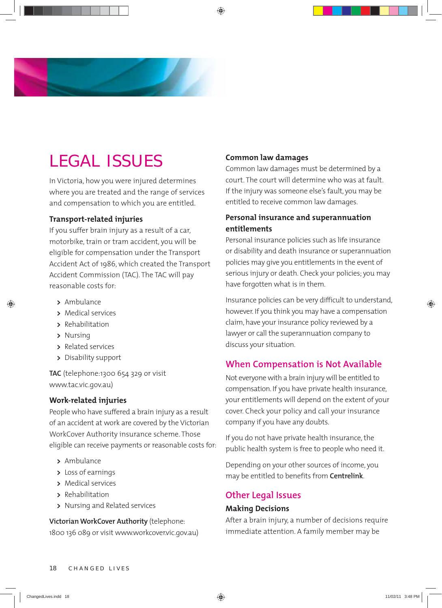

# LEGAL ISSUES

In Victoria, how you were injured determines where you are treated and the range of services and compensation to which you are entitled.

# **Transport-related injuries**

If you suffer brain injury as a result of a car, motorbike, train or tram accident, you will be eligible for compensation under the Transport Accident Act of 1986, which created the Transport Accident Commission (TAC). The TAC will pay reasonable costs for:

- **>** Ambulance
- **>** Medical services
- **>** Rehabilitation
- **>** Nursing
- **>** Related services
- **>** Disability support

**TAC** (telephone:1300 654 329 or visit www.tac.vic.gov.au)

# **Work-related injuries**

People who have suffered a brain injury as a result of an accident at work are covered by the Victorian WorkCover Authority insurance scheme. Those eligible can receive payments or reasonable costs for:

- **>** Ambulance
- **>** Loss of earnings
- **>** Medical services
- **>** Rehabilitation
- **>** Nursing and Related services

**Victorian WorkCover Authority** (telephone: 1800 136 089 or visit www.workcover.vic.gov.au)

# **Common law damages**

Common law damages must be determined by a court. The court will determine who was at fault. If the injury was someone else's fault, you may be entitled to receive common law damages.

# **Personal insurance and superannuation entitlements**

Personal insurance policies such as life insurance or disability and death insurance or superannuation policies may give you entitlements in the event of serious injury or death. Check your policies; you may have forgotten what is in them.

Insurance policies can be very difficult to understand, however. If you think you may have a compensation claim, have your insurance policy reviewed by a lawyer or call the superannuation company to discuss your situation.

# **When Compensation is Not Available**

Not everyone with a brain injury will be entitled to compensation. If you have private health insurance, your entitlements will depend on the extent of your cover. Check your policy and call your insurance company if you have any doubts.

If you do not have private health insurance, the public health system is free to people who need it.

Depending on your other sources of income, you may be entitled to benefits from **Centrelink**.

# **Other Legal Issues**

# **Making Decisions**

After a brain injury, a number of decisions require immediate attention. A family member may be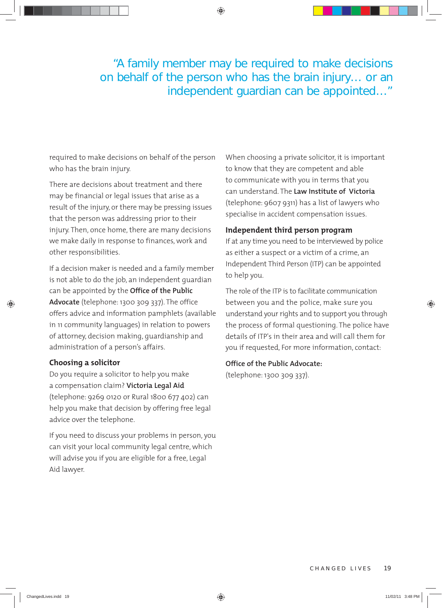"A family member may be required to make decisions on behalf of the person who has the brain injury… or an independent guardian can be appointed…"

required to make decisions on behalf of the person who has the brain injury.

There are decisions about treatment and there may be financial or legal issues that arise as a result of the injury, or there may be pressing issues that the person was addressing prior to their injury. Then, once home, there are many decisions we make daily in response to finances, work and other responsibilities.

If a decision maker is needed and a family member is not able to do the job, an independent guardian can be appointed by the **Office of the Public Advocate** (telephone: 1300 309 337). The office offers advice and information pamphlets (available in 11 community languages) in relation to powers of attorney, decision making, guardianship and administration of a person's affairs.

# **Choosing a solicitor**

Do you require a solicitor to help you make a compensation claim? **Victoria Legal Aid**  (telephone: 9269 0120 or Rural 1800 677 402) can help you make that decision by offering free legal advice over the telephone.

If you need to discuss your problems in person, you can visit your local community legal centre, which will advise you if you are eligible for a free, Legal Aid lawyer.

When choosing a private solicitor, it is important to know that they are competent and able to communicate with you in terms that you can understand. The **Law Institute of Victoria** (telephone: 9607 9311) has a list of lawyers who specialise in accident compensation issues.

# **Independent third person program**

If at any time you need to be interviewed by police as either a suspect or a victim of a crime, an Independent Third Person (ITP) can be appointed to help you.

The role of the ITP is to facilitate communication between you and the police, make sure you understand your rights and to support you through the process of formal questioning. The police have details of ITP's in their area and will call them for you if requested, For more information, contact:

# **Office of the Public Advocate:**

(telephone: 1300 309 337).